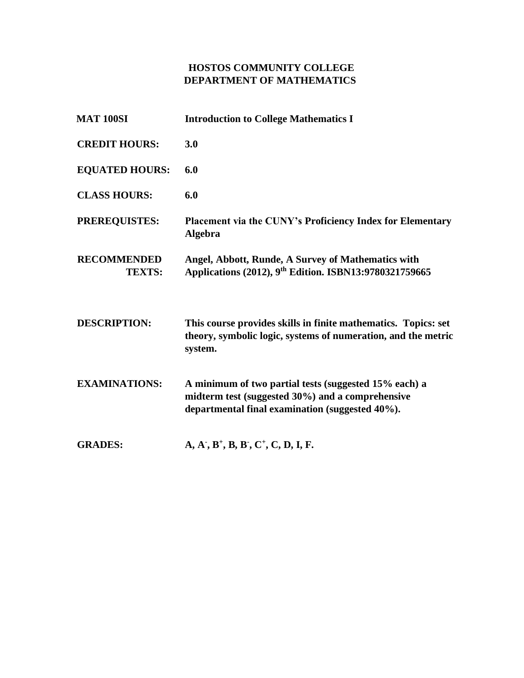## **HOSTOS COMMUNITY COLLEGE DEPARTMENT OF MATHEMATICS**

| <b>MAT 100SI</b>                    | <b>Introduction to College Mathematics I</b>                                                                                                                 |
|-------------------------------------|--------------------------------------------------------------------------------------------------------------------------------------------------------------|
| <b>CREDIT HOURS:</b>                | 3.0                                                                                                                                                          |
| <b>EQUATED HOURS:</b>               | 6.0                                                                                                                                                          |
| <b>CLASS HOURS:</b>                 | 6.0                                                                                                                                                          |
| <b>PREREQUISTES:</b>                | Placement via the CUNY's Proficiency Index for Elementary<br>Algebra                                                                                         |
| <b>RECOMMENDED</b><br><b>TEXTS:</b> | Angel, Abbott, Runde, A Survey of Mathematics with<br>Applications (2012), 9 <sup>th</sup> Edition. ISBN13:9780321759665                                     |
| <b>DESCRIPTION:</b>                 | This course provides skills in finite mathematics. Topics: set<br>theory, symbolic logic, systems of numeration, and the metric<br>system.                   |
| <b>EXAMINATIONS:</b>                | A minimum of two partial tests (suggested 15% each) a<br>midterm test (suggested 30%) and a comprehensive<br>departmental final examination (suggested 40%). |
| <b>GRADES:</b>                      | $A, A', B^+, B, B', C^+, C, D, I, F.$                                                                                                                        |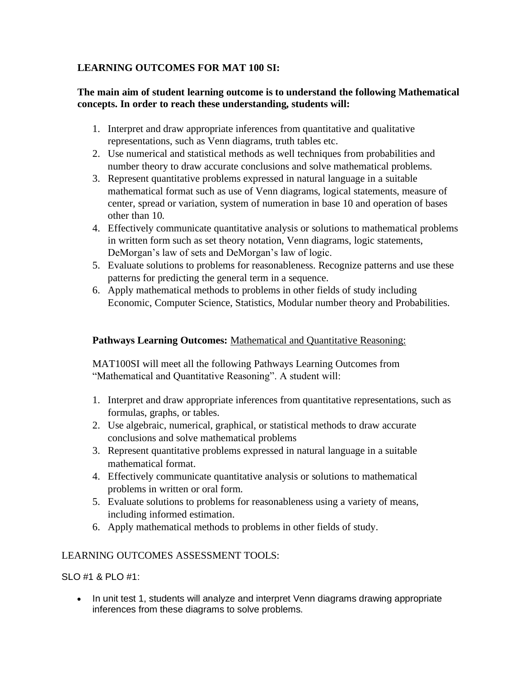## **LEARNING OUTCOMES FOR MAT 100 SI:**

## **The main aim of student learning outcome is to understand the following Mathematical concepts. In order to reach these understanding, students will:**

- 1. Interpret and draw appropriate inferences from quantitative and qualitative representations, such as Venn diagrams, truth tables etc.
- 2. Use numerical and statistical methods as well techniques from probabilities and number theory to draw accurate conclusions and solve mathematical problems.
- 3. Represent quantitative problems expressed in natural language in a suitable mathematical format such as use of Venn diagrams, logical statements, measure of center, spread or variation, system of numeration in base 10 and operation of bases other than 10.
- 4. Effectively communicate quantitative analysis or solutions to mathematical problems in written form such as set theory notation, Venn diagrams, logic statements, DeMorgan's law of sets and DeMorgan's law of logic.
- 5. Evaluate solutions to problems for reasonableness. Recognize patterns and use these patterns for predicting the general term in a sequence.
- 6. Apply mathematical methods to problems in other fields of study including Economic, Computer Science, Statistics, Modular number theory and Probabilities.

## Pathways Learning Outcomes: Mathematical and Quantitative Reasoning:

MAT100SI will meet all the following Pathways Learning Outcomes from "Mathematical and Quantitative Reasoning". A student will:

- 1. Interpret and draw appropriate inferences from quantitative representations, such as formulas, graphs, or tables.
- 2. Use algebraic, numerical, graphical, or statistical methods to draw accurate conclusions and solve mathematical problems
- 3. Represent quantitative problems expressed in natural language in a suitable mathematical format.
- 4. Effectively communicate quantitative analysis or solutions to mathematical problems in written or oral form.
- 5. Evaluate solutions to problems for reasonableness using a variety of means, including informed estimation.
- 6. Apply mathematical methods to problems in other fields of study.

## LEARNING OUTCOMES ASSESSMENT TOOLS:

SLO #1 & PLO #1:

• In unit test 1, students will analyze and interpret Venn diagrams drawing appropriate inferences from these diagrams to solve problems.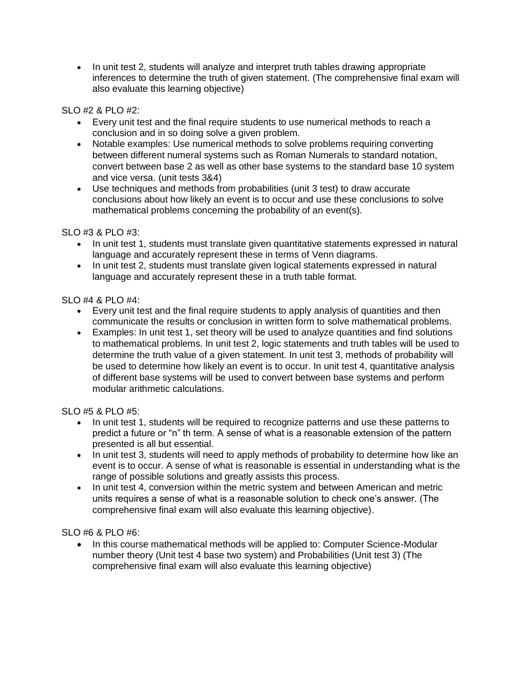• In unit test 2, students will analyze and interpret truth tables drawing appropriate inferences to determine the truth of given statement. (The comprehensive final exam will also evaluate this learning objective)

### SLO #2 & PLO #2:

- Every unit test and the final require students to use numerical methods to reach a conclusion and in so doing solve a given problem.
- Notable examples: Use numerical methods to solve problems requiring converting between different numeral systems such as Roman Numerals to standard notation, convert between base 2 as well as other base systems to the standard base 10 system and vice versa. (unit tests 3&4)
- Use techniques and methods from probabilities (unit 3 test) to draw accurate conclusions about how likely an event is to occur and use these conclusions to solve mathematical problems concerning the probability of an event(s).

### SLO #3 & PLO #3:

- In unit test 1, students must translate given quantitative statements expressed in natural language and accurately represent these in terms of Venn diagrams.
- In unit test 2, students must translate given logical statements expressed in natural language and accurately represent these in a truth table format.

### SLO #4 & PLO #4:

- Every unit test and the final require students to apply analysis of quantities and then communicate the results or conclusion in written form to solve mathematical problems.
- Examples: In unit test 1, set theory will be used to analyze quantities and find solutions to mathematical problems. In unit test 2, logic statements and truth tables will be used to determine the truth value of a given statement. In unit test 3, methods of probability will be used to determine how likely an event is to occur. In unit test 4, quantitative analysis of different base systems will be used to convert between base systems and perform modular arithmetic calculations.

#### SLO #5 & PLO #5:

- In unit test 1, students will be required to recognize patterns and use these patterns to predict a future or "n" th term. A sense of what is a reasonable extension of the pattern presented is all but essential.
- In unit test 3, students will need to apply methods of probability to determine how like an event is to occur. A sense of what is reasonable is essential in understanding what is the range of possible solutions and greatly assists this process.
- In unit test 4, conversion within the metric system and between American and metric units requires a sense of what is a reasonable solution to check one's answer. (The comprehensive final exam will also evaluate this learning objective).

## SLO #6 & PLO #6:

• In this course mathematical methods will be applied to: Computer Science-Modular number theory (Unit test 4 base two system) and Probabilities (Unit test 3) (The comprehensive final exam will also evaluate this learning objective)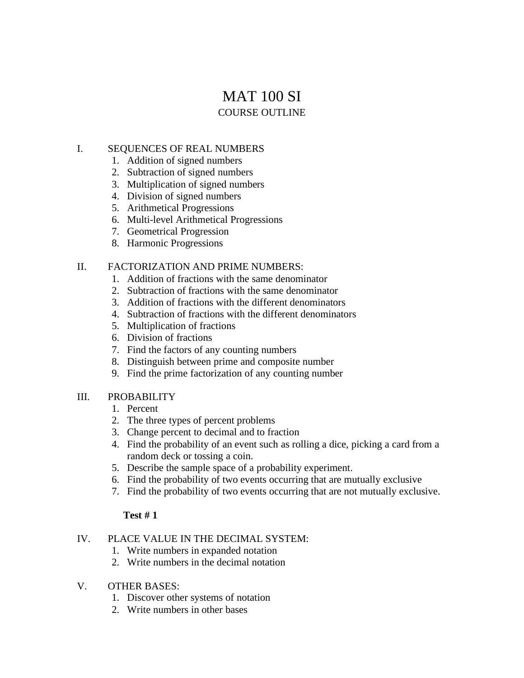# MAT 100 SI COURSE OUTLINE

## I. SEQUENCES OF REAL NUMBERS

- 1. Addition of signed numbers
- 2. Subtraction of signed numbers
- 3. Multiplication of signed numbers
- 4. Division of signed numbers
- 5. Arithmetical Progressions
- 6. Multi-level Arithmetical Progressions
- 7. Geometrical Progression
- 8. Harmonic Progressions

### II. FACTORIZATION AND PRIME NUMBERS:

- 1. Addition of fractions with the same denominator
- 2. Subtraction of fractions with the same denominator
- 3. Addition of fractions with the different denominators
- 4. Subtraction of fractions with the different denominators
- 5. Multiplication of fractions
- 6. Division of fractions
- 7. Find the factors of any counting numbers
- 8. Distinguish between prime and composite number
- 9. Find the prime factorization of any counting number

## III. PROBABILITY

- 1. Percent
- 2. The three types of percent problems
- 3. Change percent to decimal and to fraction
- 4. Find the probability of an event such as rolling a dice, picking a card from a random deck or tossing a coin.
- 5. Describe the sample space of a probability experiment.
- 6. Find the probability of two events occurring that are mutually exclusive
- 7. Find the probability of two events occurring that are not mutually exclusive.

## **Test # 1**

#### IV. PLACE VALUE IN THE DECIMAL SYSTEM:

- 1. Write numbers in expanded notation
- 2. Write numbers in the decimal notation
- V. OTHER BASES:
	- 1. Discover other systems of notation
	- 2. Write numbers in other bases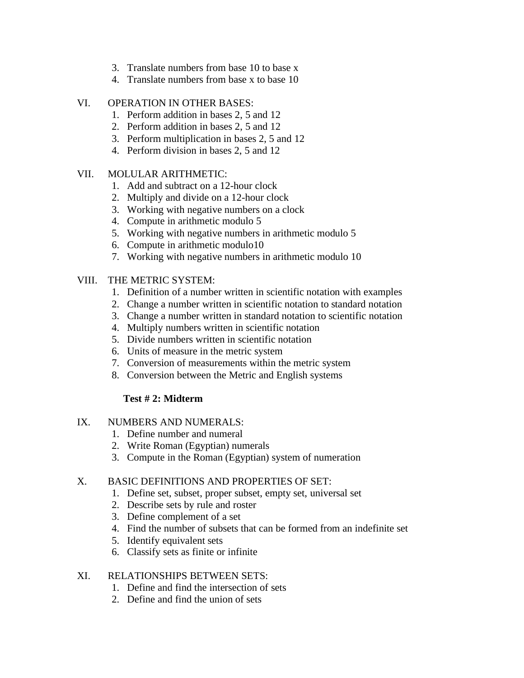- 3. Translate numbers from base 10 to base x
- 4. Translate numbers from base x to base 10
- VI. OPERATION IN OTHER BASES:
	- 1. Perform addition in bases 2, 5 and 12
	- 2. Perform addition in bases 2, 5 and 12
	- 3. Perform multiplication in bases 2, 5 and 12
	- 4. Perform division in bases 2, 5 and 12
- VII. MOLULAR ARITHMETIC:
	- 1. Add and subtract on a 12-hour clock
	- 2. Multiply and divide on a 12-hour clock
	- 3. Working with negative numbers on a clock
	- 4. Compute in arithmetic modulo 5
	- 5. Working with negative numbers in arithmetic modulo 5
	- 6. Compute in arithmetic modulo10
	- 7. Working with negative numbers in arithmetic modulo 10
- VIII. THE METRIC SYSTEM:
	- 1. Definition of a number written in scientific notation with examples
	- 2. Change a number written in scientific notation to standard notation
	- 3. Change a number written in standard notation to scientific notation
	- 4. Multiply numbers written in scientific notation
	- 5. Divide numbers written in scientific notation
	- 6. Units of measure in the metric system
	- 7. Conversion of measurements within the metric system
	- 8. Conversion between the Metric and English systems

## **Test # 2: Midterm**

- IX. NUMBERS AND NUMERALS:
	- 1. Define number and numeral
	- 2. Write Roman (Egyptian) numerals
	- 3. Compute in the Roman (Egyptian) system of numeration

#### X. BASIC DEFINITIONS AND PROPERTIES OF SET:

- 1. Define set, subset, proper subset, empty set, universal set
- 2. Describe sets by rule and roster
- 3. Define complement of a set
- 4. Find the number of subsets that can be formed from an indefinite set
- 5. Identify equivalent sets
- 6. Classify sets as finite or infinite

## XI. RELATIONSHIPS BETWEEN SETS:

- 1. Define and find the intersection of sets
- 2. Define and find the union of sets